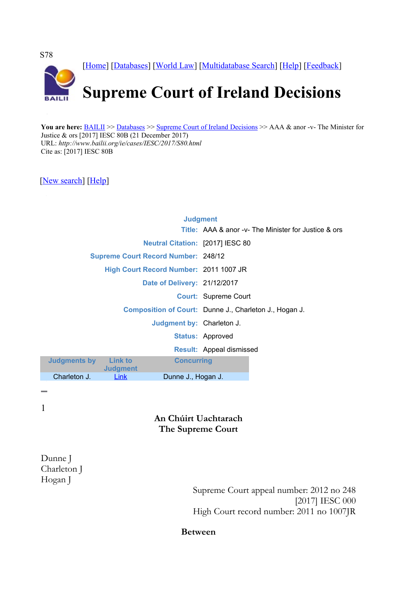

You are here: **BAILII** >> [Databases](http://www.bailii.org/databases.html) >> [Supreme Court of Ireland Decisions](http://www.bailii.org/ie/cases/IESC/) >> AAA & anor -v- The Minister for Justice & ors [2017] IESC 80B (21 December 2017) URL: *http://www.bailii.org/ie/cases/IESC/2017/S80.html* Cite as: [2017] IESC 80B

[\[New search\]](http://www.bailii.org/form/search_cases.html) [\[Help\]](http://www.bailii.org/bailii/help/)

|                                  |                                   |                                            | <b>Judgment</b>                                        |                                                             |
|----------------------------------|-----------------------------------|--------------------------------------------|--------------------------------------------------------|-------------------------------------------------------------|
|                                  |                                   |                                            |                                                        | <b>Title:</b> AAA & anor -v- The Minister for Justice & ors |
|                                  |                                   | <b>Neutral Citation: [2017] IESC 80</b>    |                                                        |                                                             |
|                                  |                                   | <b>Supreme Court Record Number: 248/12</b> |                                                        |                                                             |
|                                  |                                   | High Court Record Number: 2011 1007 JR     |                                                        |                                                             |
|                                  |                                   | Date of Delivery: 21/12/2017               |                                                        |                                                             |
|                                  |                                   |                                            | <b>Court: Supreme Court</b>                            |                                                             |
| <b>Judgment by: Charleton J.</b> |                                   |                                            | Composition of Court: Dunne J., Charleton J., Hogan J. |                                                             |
|                                  |                                   |                                            |                                                        |                                                             |
|                                  |                                   |                                            | <b>Status: Approved</b>                                |                                                             |
|                                  |                                   |                                            | <b>Result: Appeal dismissed</b>                        |                                                             |
| udgments by                      | <b>Link to</b><br><b>Judgment</b> | <b>Concurring</b>                          |                                                        |                                                             |
| Charleton J.                     | Link                              | Dunne J., Hogan J.                         |                                                        |                                                             |
|                                  |                                   |                                            |                                                        |                                                             |

1

**Judg** 

### **An Chúirt Uachtarach The Supreme Court**

Dunne J Charleton J Hogan J

Supreme Court appeal number: 2012 no 248 [2017] IESC 000 High Court record number: 2011 no 1007JR

**Between**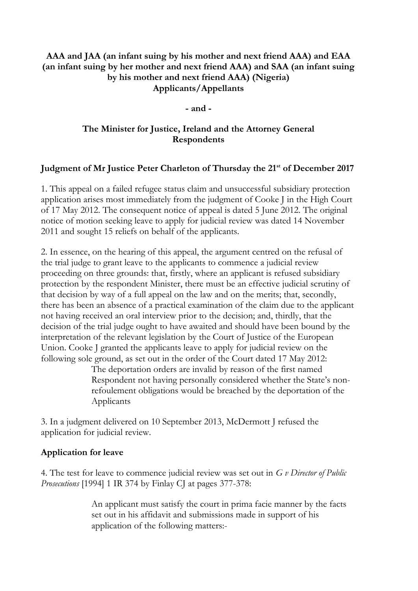### **AAA and JAA (an infant suing by his mother and next friend AAA) and EAA (an infant suing by her mother and next friend AAA) and SAA (an infant suing by his mother and next friend AAA) (Nigeria) Applicants/Appellants**

**- and -**

## **The Minister for Justice, Ireland and the Attorney General Respondents**

### **Judgment of Mr Justice Peter Charleton of Thursday the 21st of December 2017**

1. This appeal on a failed refugee status claim and unsuccessful subsidiary protection application arises most immediately from the judgment of Cooke J in the High Court of 17 May 2012. The consequent notice of appeal is dated 5 June 2012. The original notice of motion seeking leave to apply for judicial review was dated 14 November 2011 and sought 15 reliefs on behalf of the applicants.

2. In essence, on the hearing of this appeal, the argument centred on the refusal of the trial judge to grant leave to the applicants to commence a judicial review proceeding on three grounds: that, firstly, where an applicant is refused subsidiary protection by the respondent Minister, there must be an effective judicial scrutiny of that decision by way of a full appeal on the law and on the merits; that, secondly, there has been an absence of a practical examination of the claim due to the applicant not having received an oral interview prior to the decision; and, thirdly, that the decision of the trial judge ought to have awaited and should have been bound by the interpretation of the relevant legislation by the Court of Justice of the European Union. Cooke J granted the applicants leave to apply for judicial review on the following sole ground, as set out in the order of the Court dated 17 May 2012:

> The deportation orders are invalid by reason of the first named Respondent not having personally considered whether the State's nonrefoulement obligations would be breached by the deportation of the Applicants

3. In a judgment delivered on 10 September 2013, McDermott J refused the application for judicial review.

### **Application for leave**

4. The test for leave to commence judicial review was set out in *G v Director of Public Prosecutions* [1994] 1 IR 374 by Finlay CJ at pages 377-378:

> An applicant must satisfy the court in prima facie manner by the facts set out in his affidavit and submissions made in support of his application of the following matters:-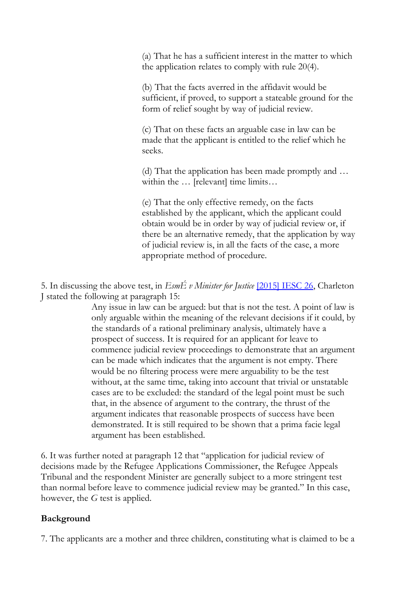(a) That he has a sufficient interest in the matter to which the application relates to comply with rule 20(4).

(b) That the facts averred in the affidavit would be sufficient, if proved, to support a stateable ground for the form of relief sought by way of judicial review.

(c) That on these facts an arguable case in law can be made that the applicant is entitled to the relief which he seeks.

(d) That the application has been made promptly and … within the ... [relevant] time limits...

(e) That the only effective remedy, on the facts established by the applicant, which the applicant could obtain would be in order by way of judicial review or, if there be an alternative remedy, that the application by way of judicial review is, in all the facts of the case, a more appropriate method of procedure.

5. In discussing the above test, in *EsmÉ v Minister for Justice* [\[2015\] IESC 26,](http://www.bailii.org/ie/cases/IESC/2015/S26.html) Charleton J stated the following at paragraph 15:

> Any issue in law can be argued: but that is not the test. A point of law is only arguable within the meaning of the relevant decisions if it could, by the standards of a rational preliminary analysis, ultimately have a prospect of success. It is required for an applicant for leave to commence judicial review proceedings to demonstrate that an argument can be made which indicates that the argument is not empty. There would be no filtering process were mere arguability to be the test without, at the same time, taking into account that trivial or unstatable cases are to be excluded: the standard of the legal point must be such that, in the absence of argument to the contrary, the thrust of the argument indicates that reasonable prospects of success have been demonstrated. It is still required to be shown that a prima facie legal argument has been established.

6. It was further noted at paragraph 12 that "application for judicial review of decisions made by the Refugee Applications Commissioner, the Refugee Appeals Tribunal and the respondent Minister are generally subject to a more stringent test than normal before leave to commence judicial review may be granted." In this case, however, the *G* test is applied.

### **Background**

7. The applicants are a mother and three children, constituting what is claimed to be a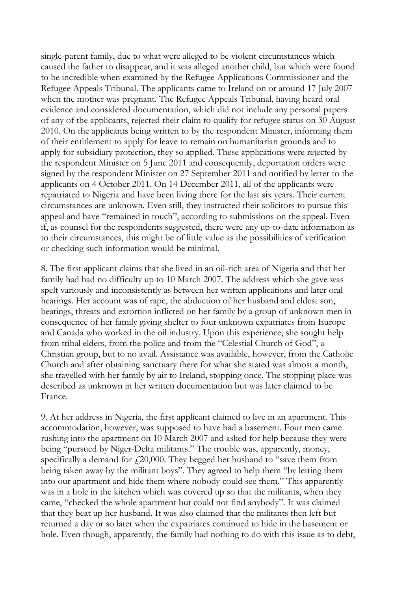single-parent family, due to what were alleged to be violent circumstances which caused the father to disappear, and it was alleged another child, but which were found to be incredible when examined by the Refugee Applications Commissioner and the Refugee Appeals Tribunal. The applicants came to Ireland on or around 17 July 2007 when the mother was pregnant. The Refugee Appeals Tribunal, having heard oral evidence and considered documentation, which did not include any personal papers of any of the applicants, rejected their claim to qualify for refugee status on 30 August 2010. On the applicants being written to by the respondent Minister, informing them of their entitlement to apply for leave to remain on humanitarian grounds and to apply for subsidiary protection, they so applied. These applications were rejected by the respondent Minister on 5 June 2011 and consequently, deportation orders were signed by the respondent Minister on 27 September 2011 and notified by letter to the applicants on 4 October 2011. On 14 December 2011, all of the applicants were repatriated to Nigeria and have been living there for the last six years. Their current circumstances are unknown. Even still, they instructed their solicitors to pursue this appeal and have "remained in touch", according to submissions on the appeal. Even if, as counsel for the respondents suggested, there were any up-to-date information as to their circumstances, this might be of little value as the possibilities of verification or checking such information would be minimal.

8. The first applicant claims that she lived in an oil-rich area of Nigeria and that her family had had no difficulty up to 10 March 2007. The address which she gave was spelt variously and inconsistently as between her written applications and later oral hearings. Her account was of rape, the abduction of her husband and eldest son, beatings, threats and extortion inflicted on her family by a group of unknown men in consequence of her family giving shelter to four unknown expatriates from Europe and Canada who worked in the oil industry. Upon this experience, she sought help from tribal elders, from the police and from the "Celestial Church of God", a Christian group, but to no avail. Assistance was available, however, from the Catholic Church and after obtaining sanctuary there for what she stated was almost a month, she travelled with her family by air to Ireland, stopping once. The stopping place was described as unknown in her written documentation but was later claimed to be France.

9. At her address in Nigeria, the first applicant claimed to live in an apartment. This accommodation, however, was supposed to have had a basement. Four men came rushing into the apartment on 10 March 2007 and asked for help because they were being "pursued by Niger-Delta militants." The trouble was, apparently, money, specifically a demand for  $f(20,000)$ . They begged her husband to "save them from being taken away by the militant boys". They agreed to help them "by letting them into our apartment and hide them where nobody could see them." This apparently was in a hole in the kitchen which was covered up so that the militants, when they came, "checked the whole apartment but could not find anybody". It was claimed that they beat up her husband. It was also claimed that the militants then left but returned a day or so later when the expatriates continued to hide in the basement or hole. Even though, apparently, the family had nothing to do with this issue as to debt,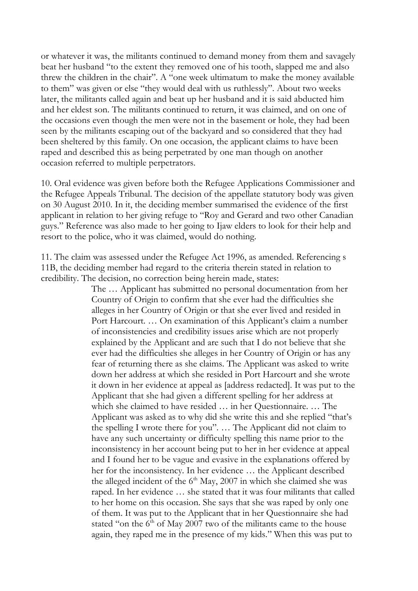or whatever it was, the militants continued to demand money from them and savagely beat her husband "to the extent they removed one of his tooth, slapped me and also threw the children in the chair". A "one week ultimatum to make the money available to them" was given or else "they would deal with us ruthlessly". About two weeks later, the militants called again and beat up her husband and it is said abducted him and her eldest son. The militants continued to return, it was claimed, and on one of the occasions even though the men were not in the basement or hole, they had been seen by the militants escaping out of the backyard and so considered that they had been sheltered by this family. On one occasion, the applicant claims to have been raped and described this as being perpetrated by one man though on another occasion referred to multiple perpetrators.

10. Oral evidence was given before both the Refugee Applications Commissioner and the Refugee Appeals Tribunal. The decision of the appellate statutory body was given on 30 August 2010. In it, the deciding member summarised the evidence of the first applicant in relation to her giving refuge to "Roy and Gerard and two other Canadian guys." Reference was also made to her going to Ijaw elders to look for their help and resort to the police, who it was claimed, would do nothing.

11. The claim was assessed under the Refugee Act 1996, as amended. Referencing s 11B, the deciding member had regard to the criteria therein stated in relation to credibility. The decision, no correction being herein made, states:

> The … Applicant has submitted no personal documentation from her Country of Origin to confirm that she ever had the difficulties she alleges in her Country of Origin or that she ever lived and resided in Port Harcourt. … On examination of this Applicant's claim a number of inconsistencies and credibility issues arise which are not properly explained by the Applicant and are such that I do not believe that she ever had the difficulties she alleges in her Country of Origin or has any fear of returning there as she claims. The Applicant was asked to write down her address at which she resided in Port Harcourt and she wrote it down in her evidence at appeal as [address redacted]. It was put to the Applicant that she had given a different spelling for her address at which she claimed to have resided … in her Questionnaire. … The Applicant was asked as to why did she write this and she replied "that's the spelling I wrote there for you". … The Applicant did not claim to have any such uncertainty or difficulty spelling this name prior to the inconsistency in her account being put to her in her evidence at appeal and I found her to be vague and evasive in the explanations offered by her for the inconsistency. In her evidence … the Applicant described the alleged incident of the  $6<sup>th</sup>$  May, 2007 in which she claimed she was raped. In her evidence … she stated that it was four militants that called to her home on this occasion. She says that she was raped by only one of them. It was put to the Applicant that in her Questionnaire she had stated "on the  $6<sup>th</sup>$  of May 2007 two of the militants came to the house again, they raped me in the presence of my kids." When this was put to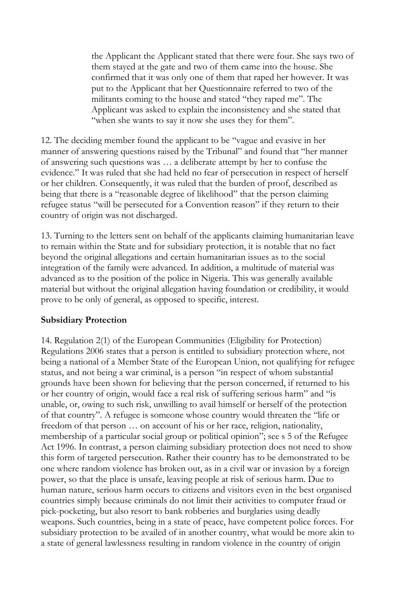the Applicant the Applicant stated that there were four. She says two of them stayed at the gate and two of them came into the house. She confirmed that it was only one of them that raped her however. It was put to the Applicant that her Questionnaire referred to two of the militants coming to the house and stated "they raped me". The Applicant was asked to explain the inconsistency and she stated that "when she wants to say it now she uses they for them".

12. The deciding member found the applicant to be "vague and evasive in her manner of answering questions raised by the Tribunal" and found that "her manner of answering such questions was … a deliberate attempt by her to confuse the evidence." It was ruled that she had held no fear of persecution in respect of herself or her children. Consequently, it was ruled that the burden of proof, described as being that there is a "reasonable degree of likelihood" that the person claiming refugee status "will be persecuted for a Convention reason" if they return to their country of origin was not discharged.

13. Turning to the letters sent on behalf of the applicants claiming humanitarian leave to remain within the State and for subsidiary protection, it is notable that no fact beyond the original allegations and certain humanitarian issues as to the social integration of the family were advanced. In addition, a multitude of material was advanced as to the position of the police in Nigeria. This was generally available material but without the original allegation having foundation or credibility, it would prove to be only of general, as opposed to specific, interest.

### **Subsidiary Protection**

14. Regulation 2(1) of the European Communities (Eligibility for Protection) Regulations 2006 states that a person is entitled to subsidiary protection where, not being a national of a Member State of the European Union, not qualifying for refugee status, and not being a war criminal, is a person "in respect of whom substantial grounds have been shown for believing that the person concerned, if returned to his or her country of origin, would face a real risk of suffering serious harm" and "is unable, or, owing to such risk, unwilling to avail himself or herself of the protection of that country". A refugee is someone whose country would threaten the "life or freedom of that person … on account of his or her race, religion, nationality, membership of a particular social group or political opinion"; see s 5 of the Refugee Act 1996. In contrast, a person claiming subsidiary protection does not need to show this form of targeted persecution. Rather their country has to be demonstrated to be one where random violence has broken out, as in a civil war or invasion by a foreign power, so that the place is unsafe, leaving people at risk of serious harm. Due to human nature, serious harm occurs to citizens and visitors even in the best organised countries simply because criminals do not limit their activities to computer fraud or pick-pocketing, but also resort to bank robberies and burglaries using deadly weapons. Such countries, being in a state of peace, have competent police forces. For subsidiary protection to be availed of in another country, what would be more akin to a state of general lawlessness resulting in random violence in the country of origin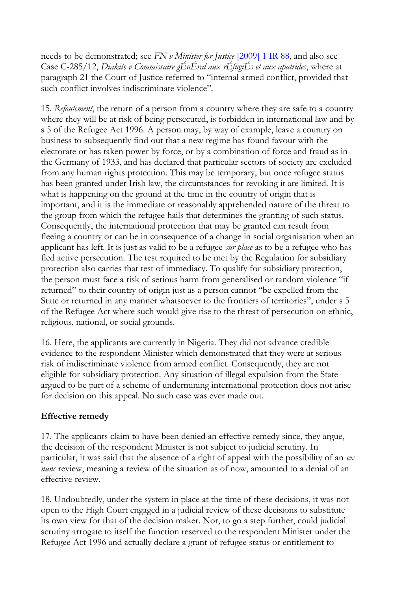needs to be demonstrated; see *FN v Minister for Justice* [\[2009\] 1 IR 88,](http://www.bailii.org/cgi-bin/redirect.cgi?path=/ie/cases/IEHC/2008/H107.html) and also see Case C-285/12, *Diakite v Commissaire gÉnÉral aux rÉfugiÉs et aux apatrides*, where at paragraph 21 the Court of Justice referred to "internal armed conflict, provided that such conflict involves indiscriminate violence".

15. *Refoulement*, the return of a person from a country where they are safe to a country where they will be at risk of being persecuted, is forbidden in international law and by s 5 of the Refugee Act 1996. A person may, by way of example, leave a country on business to subsequently find out that a new regime has found favour with the electorate or has taken power by force, or by a combination of force and fraud as in the Germany of 1933, and has declared that particular sectors of society are excluded from any human rights protection. This may be temporary, but once refugee status has been granted under Irish law, the circumstances for revoking it are limited. It is what is happening on the ground at the time in the country of origin that is important, and it is the immediate or reasonably apprehended nature of the threat to the group from which the refugee hails that determines the granting of such status. Consequently, the international protection that may be granted can result from fleeing a country or can be in consequence of a change in social organisation when an applicant has left. It is just as valid to be a refugee *sur place* as to be a refugee who has fled active persecution. The test required to be met by the Regulation for subsidiary protection also carries that test of immediacy. To qualify for subsidiary protection, the person must face a risk of serious harm from generalised or random violence "if returned" to their country of origin just as a person cannot "be expelled from the State or returned in any manner whatsoever to the frontiers of territories", under s 5 of the Refugee Act where such would give rise to the threat of persecution on ethnic, religious, national, or social grounds.

16. Here, the applicants are currently in Nigeria. They did not advance credible evidence to the respondent Minister which demonstrated that they were at serious risk of indiscriminate violence from armed conflict. Consequently, they are not eligible for subsidiary protection. Any situation of illegal expulsion from the State argued to be part of a scheme of undermining international protection does not arise for decision on this appeal. No such case was ever made out.

# **Effective remedy**

17. The applicants claim to have been denied an effective remedy since, they argue, the decision of the respondent Minister is not subject to judicial scrutiny. In particular, it was said that the absence of a right of appeal with the possibility of an *ex nunc* review, meaning a review of the situation as of now, amounted to a denial of an effective review.

18. Undoubtedly, under the system in place at the time of these decisions, it was not open to the High Court engaged in a judicial review of these decisions to substitute its own view for that of the decision maker. Nor, to go a step further, could judicial scrutiny arrogate to itself the function reserved to the respondent Minister under the Refugee Act 1996 and actually declare a grant of refugee status or entitlement to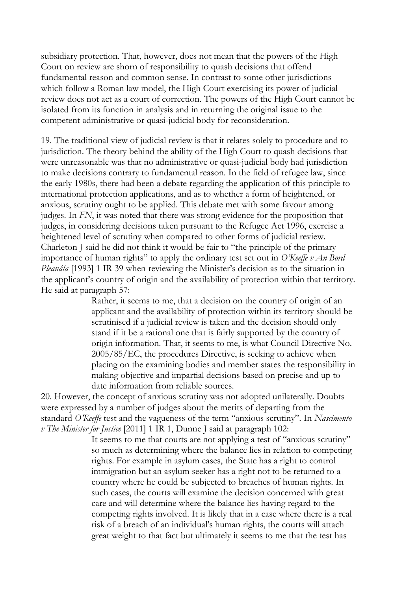subsidiary protection. That, however, does not mean that the powers of the High Court on review are shorn of responsibility to quash decisions that offend fundamental reason and common sense. In contrast to some other jurisdictions which follow a Roman law model, the High Court exercising its power of judicial review does not act as a court of correction. The powers of the High Court cannot be isolated from its function in analysis and in returning the original issue to the competent administrative or quasi-judicial body for reconsideration.

19. The traditional view of judicial review is that it relates solely to procedure and to jurisdiction. The theory behind the ability of the High Court to quash decisions that were unreasonable was that no administrative or quasi-judicial body had jurisdiction to make decisions contrary to fundamental reason. In the field of refugee law, since the early 1980s, there had been a debate regarding the application of this principle to international protection applications, and as to whether a form of heightened, or anxious, scrutiny ought to be applied. This debate met with some favour among judges. In *FN*, it was noted that there was strong evidence for the proposition that judges, in considering decisions taken pursuant to the Refugee Act 1996, exercise a heightened level of scrutiny when compared to other forms of judicial review. Charleton J said he did not think it would be fair to "the principle of the primary importance of human rights" to apply the ordinary test set out in *O'Keeffe v An Bord Pleanála* [1993] 1 IR 39 when reviewing the Minister's decision as to the situation in the applicant's country of origin and the availability of protection within that territory. He said at paragraph 57:

> Rather, it seems to me, that a decision on the country of origin of an applicant and the availability of protection within its territory should be scrutinised if a judicial review is taken and the decision should only stand if it be a rational one that is fairly supported by the country of origin information. That, it seems to me, is what Council Directive No. 2005/85/EC, the procedures Directive, is seeking to achieve when placing on the examining bodies and member states the responsibility in making objective and impartial decisions based on precise and up to date information from reliable sources.

20. However, the concept of anxious scrutiny was not adopted unilaterally. Doubts were expressed by a number of judges about the merits of departing from the standard *O'Keeffe* test and the vagueness of the term "anxious scrutiny". In *Nascimento v The Minister for Justice* [2011] 1 IR 1, Dunne J said at paragraph 102:

> It seems to me that courts are not applying a test of "anxious scrutiny" so much as determining where the balance lies in relation to competing rights. For example in asylum cases, the State has a right to control immigration but an asylum seeker has a right not to be returned to a country where he could be subjected to breaches of human rights. In such cases, the courts will examine the decision concerned with great care and will determine where the balance lies having regard to the competing rights involved. It is likely that in a case where there is a real risk of a breach of an individual's human rights, the courts will attach great weight to that fact but ultimately it seems to me that the test has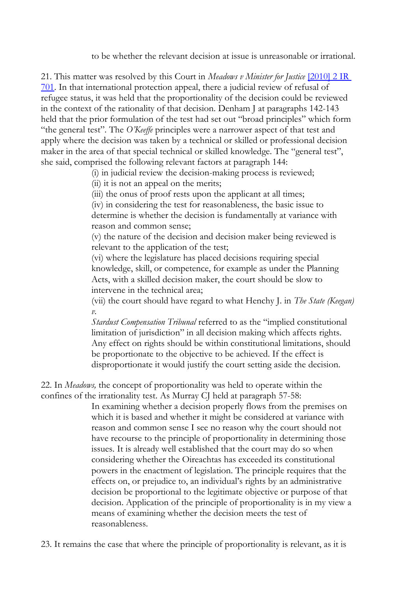to be whether the relevant decision at issue is unreasonable or irrational.

21. This matter was resolved by this Court in *Meadows v Minister for Justice* [\[2010\] 2 IR](http://www.bailii.org/cgi-bin/redirect.cgi?path=/ie/cases/IESC/2010/S3.html)  [701.](http://www.bailii.org/cgi-bin/redirect.cgi?path=/ie/cases/IESC/2010/S3.html) In that international protection appeal, there a judicial review of refusal of refugee status, it was held that the proportionality of the decision could be reviewed in the context of the rationality of that decision. Denham J at paragraphs 142-143 held that the prior formulation of the test had set out "broad principles" which form "the general test". The *O'Keeffe* principles were a narrower aspect of that test and apply where the decision was taken by a technical or skilled or professional decision maker in the area of that special technical or skilled knowledge. The "general test", she said, comprised the following relevant factors at paragraph 144:

(i) in judicial review the decision-making process is reviewed;

(ii) it is not an appeal on the merits;

(iii) the onus of proof rests upon the applicant at all times;

(iv) in considering the test for reasonableness, the basic issue to determine is whether the decision is fundamentally at variance with reason and common sense;

(v) the nature of the decision and decision maker being reviewed is relevant to the application of the test;

(vi) where the legislature has placed decisions requiring special knowledge, skill, or competence, for example as under the Planning Acts, with a skilled decision maker, the court should be slow to intervene in the technical area;

(vii) the court should have regard to what Henchy J. in *The State (Keegan) v.*

*Stardust Compensation Tribunal* referred to as the "implied constitutional limitation of jurisdiction" in all decision making which affects rights. Any effect on rights should be within constitutional limitations, should be proportionate to the objective to be achieved. If the effect is disproportionate it would justify the court setting aside the decision.

22. In *Meadows,* the concept of proportionality was held to operate within the confines of the irrationality test. As Murray CJ held at paragraph 57-58:

> In examining whether a decision properly flows from the premises on which it is based and whether it might be considered at variance with reason and common sense I see no reason why the court should not have recourse to the principle of proportionality in determining those issues. It is already well established that the court may do so when considering whether the Oireachtas has exceeded its constitutional powers in the enactment of legislation. The principle requires that the effects on, or prejudice to, an individual's rights by an administrative decision be proportional to the legitimate objective or purpose of that decision. Application of the principle of proportionality is in my view a means of examining whether the decision meets the test of reasonableness.

23. It remains the case that where the principle of proportionality is relevant, as it is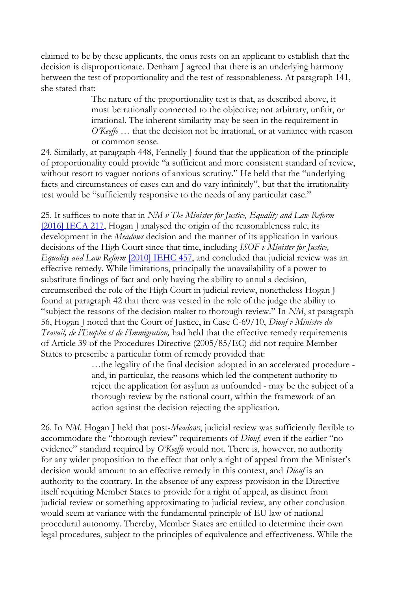claimed to be by these applicants, the onus rests on an applicant to establish that the decision is disproportionate. Denham J agreed that there is an underlying harmony between the test of proportionality and the test of reasonableness. At paragraph 141, she stated that:

> The nature of the proportionality test is that, as described above, it must be rationally connected to the objective; not arbitrary, unfair, or irrational. The inherent similarity may be seen in the requirement in *O'Keeffe* … that the decision not be irrational, or at variance with reason or common sense.

24. Similarly, at paragraph 448, Fennelly J found that the application of the principle of proportionality could provide "a sufficient and more consistent standard of review, without resort to vaguer notions of anxious scrutiny." He held that the "underlying facts and circumstances of cases can and do vary infinitely", but that the irrationality test would be "sufficiently responsive to the needs of any particular case."

25. It suffices to note that in *NM v The Minister for Justice, Equality and Law Reform*  [\[2016\] IECA 217,](http://www.bailii.org/ie/cases/IECA/2016/CA217.html) Hogan J analysed the origin of the reasonableness rule, its development in the *Meadows* decision and the manner of its application in various decisions of the High Court since that time, including *ISOF v Minister for Justice, Equality and Law Reform* [\[2010\] IEHC 457,](http://www.bailii.org/ie/cases/IEHC/2010/H457.html) and concluded that judicial review was an effective remedy. While limitations, principally the unavailability of a power to substitute findings of fact and only having the ability to annul a decision, circumscribed the role of the High Court in judicial review, nonetheless Hogan J found at paragraph 42 that there was vested in the role of the judge the ability to "subject the reasons of the decision maker to thorough review." In *NM*, at paragraph 56, Hogan J noted that the Court of Justice, in Case C-69/10, *Diouf v Ministre du Travail, de l'Emploi et de l'Immigration,* had held that the effective remedy requirements of Article 39 of the Procedures Directive (2005/85/EC) did not require Member States to prescribe a particular form of remedy provided that:

…the legality of the final decision adopted in an accelerated procedure and, in particular, the reasons which led the competent authority to reject the application for asylum as unfounded - may be the subject of a thorough review by the national court, within the framework of an action against the decision rejecting the application.

26. In *NM,* Hogan J held that post-*Meadows*, judicial review was sufficiently flexible to accommodate the "thorough review" requirements of *Diouf,* even if the earlier "no evidence" standard required by *O'Keeffe* would not. There is, however, no authority for any wider proposition to the effect that only a right of appeal from the Minister's decision would amount to an effective remedy in this context, and *Diouf* is an authority to the contrary. In the absence of any express provision in the Directive itself requiring Member States to provide for a right of appeal, as distinct from judicial review or something approximating to judicial review, any other conclusion would seem at variance with the fundamental principle of EU law of national procedural autonomy. Thereby, Member States are entitled to determine their own legal procedures, subject to the principles of equivalence and effectiveness. While the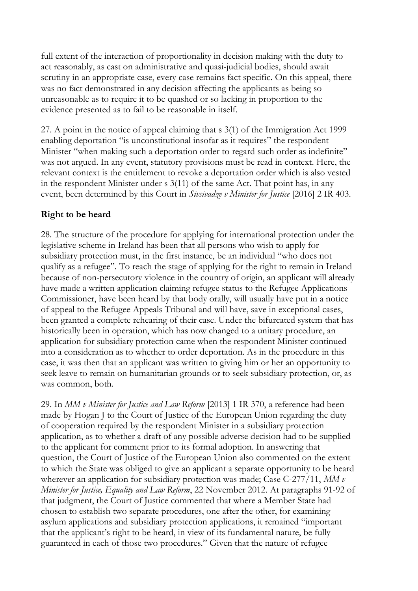full extent of the interaction of proportionality in decision making with the duty to act reasonably, as cast on administrative and quasi-judicial bodies, should await scrutiny in an appropriate case, every case remains fact specific. On this appeal, there was no fact demonstrated in any decision affecting the applicants as being so unreasonable as to require it to be quashed or so lacking in proportion to the evidence presented as to fail to be reasonable in itself.

27. A point in the notice of appeal claiming that s 3(1) of the Immigration Act 1999 enabling deportation "is unconstitutional insofar as it requires" the respondent Minister "when making such a deportation order to regard such order as indefinite" was not argued. In any event, statutory provisions must be read in context. Here, the relevant context is the entitlement to revoke a deportation order which is also vested in the respondent Minister under s 3(11) of the same Act. That point has, in any event, been determined by this Court in *Sivsivadze v Minister for Justice* [2016] 2 IR 403.

## **Right to be heard**

28. The structure of the procedure for applying for international protection under the legislative scheme in Ireland has been that all persons who wish to apply for subsidiary protection must, in the first instance, be an individual "who does not qualify as a refugee". To reach the stage of applying for the right to remain in Ireland because of non-persecutory violence in the country of origin, an applicant will already have made a written application claiming refugee status to the Refugee Applications Commissioner, have been heard by that body orally, will usually have put in a notice of appeal to the Refugee Appeals Tribunal and will have, save in exceptional cases, been granted a complete rehearing of their case. Under the bifurcated system that has historically been in operation, which has now changed to a unitary procedure, an application for subsidiary protection came when the respondent Minister continued into a consideration as to whether to order deportation. As in the procedure in this case, it was then that an applicant was written to giving him or her an opportunity to seek leave to remain on humanitarian grounds or to seek subsidiary protection, or, as was common, both.

29. In *MM v Minister for Justice and Law Reform* [2013] 1 IR 370, a reference had been made by Hogan J to the Court of Justice of the European Union regarding the duty of cooperation required by the respondent Minister in a subsidiary protection application, as to whether a draft of any possible adverse decision had to be supplied to the applicant for comment prior to its formal adoption. In answering that question, the Court of Justice of the European Union also commented on the extent to which the State was obliged to give an applicant a separate opportunity to be heard wherever an application for subsidiary protection was made; Case C-277/11, *MM v Minister for Justice, Equality and Law Reform*, 22 November 2012. At paragraphs 91-92 of that judgment, the Court of Justice commented that where a Member State had chosen to establish two separate procedures, one after the other, for examining asylum applications and subsidiary protection applications, it remained "important that the applicant's right to be heard, in view of its fundamental nature, be fully guaranteed in each of those two procedures." Given that the nature of refugee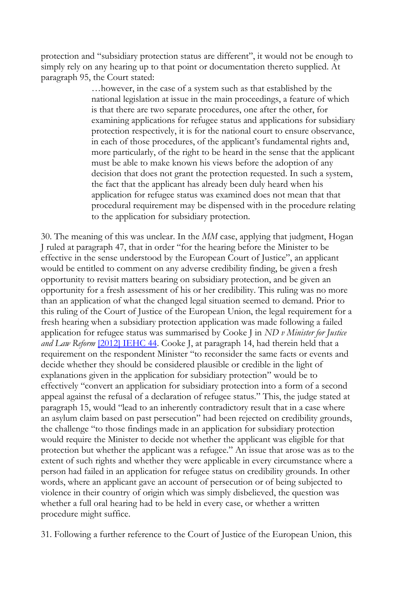protection and "subsidiary protection status are different", it would not be enough to simply rely on any hearing up to that point or documentation thereto supplied. At paragraph 95, the Court stated:

> …however, in the case of a system such as that established by the national legislation at issue in the main proceedings, a feature of which is that there are two separate procedures, one after the other, for examining applications for refugee status and applications for subsidiary protection respectively, it is for the national court to ensure observance, in each of those procedures, of the applicant's fundamental rights and, more particularly, of the right to be heard in the sense that the applicant must be able to make known his views before the adoption of any decision that does not grant the protection requested. In such a system, the fact that the applicant has already been duly heard when his application for refugee status was examined does not mean that that procedural requirement may be dispensed with in the procedure relating to the application for subsidiary protection.

30. The meaning of this was unclear. In the *MM* case, applying that judgment, Hogan J ruled at paragraph 47, that in order "for the hearing before the Minister to be effective in the sense understood by the European Court of Justice", an applicant would be entitled to comment on any adverse credibility finding, be given a fresh opportunity to revisit matters bearing on subsidiary protection, and be given an opportunity for a fresh assessment of his or her credibility. This ruling was no more than an application of what the changed legal situation seemed to demand. Prior to this ruling of the Court of Justice of the European Union, the legal requirement for a fresh hearing when a subsidiary protection application was made following a failed application for refugee status was summarised by Cooke J in *ND v Minister for Justice and Law Reform* [\[2012\] IEHC 44.](http://www.bailii.org/ie/cases/IEHC/2012/H44.html) Cooke J, at paragraph 14, had therein held that a requirement on the respondent Minister "to reconsider the same facts or events and decide whether they should be considered plausible or credible in the light of explanations given in the application for subsidiary protection" would be to effectively "convert an application for subsidiary protection into a form of a second appeal against the refusal of a declaration of refugee status." This, the judge stated at paragraph 15, would "lead to an inherently contradictory result that in a case where an asylum claim based on past persecution" had been rejected on credibility grounds, the challenge "to those findings made in an application for subsidiary protection would require the Minister to decide not whether the applicant was eligible for that protection but whether the applicant was a refugee." An issue that arose was as to the extent of such rights and whether they were applicable in every circumstance where a person had failed in an application for refugee status on credibility grounds. In other words, where an applicant gave an account of persecution or of being subjected to violence in their country of origin which was simply disbelieved, the question was whether a full oral hearing had to be held in every case, or whether a written procedure might suffice.

31. Following a further reference to the Court of Justice of the European Union, this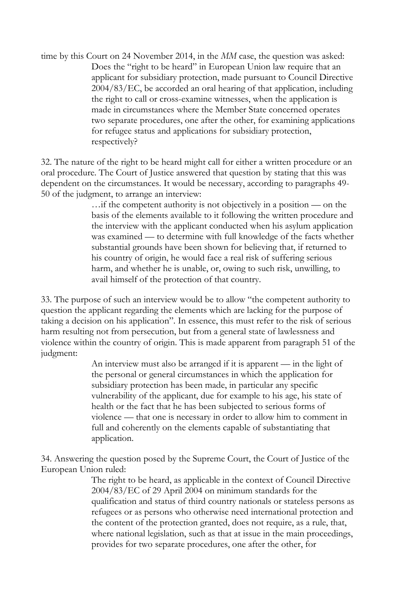time by this Court on 24 November 2014, in the *MM* case, the question was asked: Does the "right to be heard" in European Union law require that an applicant for subsidiary protection, made pursuant to Council Directive 2004/83/EC, be accorded an oral hearing of that application, including the right to call or cross-examine witnesses, when the application is made in circumstances where the Member State concerned operates two separate procedures, one after the other, for examining applications for refugee status and applications for subsidiary protection, respectively?

32. The nature of the right to be heard might call for either a written procedure or an oral procedure. The Court of Justice answered that question by stating that this was dependent on the circumstances. It would be necessary, according to paragraphs 49- 50 of the judgment, to arrange an interview:

> …if the competent authority is not objectively in a position — on the basis of the elements available to it following the written procedure and the interview with the applicant conducted when his asylum application was examined — to determine with full knowledge of the facts whether substantial grounds have been shown for believing that, if returned to his country of origin, he would face a real risk of suffering serious harm, and whether he is unable, or, owing to such risk, unwilling, to avail himself of the protection of that country.

33. The purpose of such an interview would be to allow "the competent authority to question the applicant regarding the elements which are lacking for the purpose of taking a decision on his application". In essence, this must refer to the risk of serious harm resulting not from persecution, but from a general state of lawlessness and violence within the country of origin. This is made apparent from paragraph 51 of the judgment:

> An interview must also be arranged if it is apparent — in the light of the personal or general circumstances in which the application for subsidiary protection has been made, in particular any specific vulnerability of the applicant, due for example to his age, his state of health or the fact that he has been subjected to serious forms of violence — that one is necessary in order to allow him to comment in full and coherently on the elements capable of substantiating that application.

34. Answering the question posed by the Supreme Court, the Court of Justice of the European Union ruled:

> The right to be heard, as applicable in the context of Council Directive 2004/83/EC of 29 April 2004 on minimum standards for the qualification and status of third country nationals or stateless persons as refugees or as persons who otherwise need international protection and the content of the protection granted, does not require, as a rule, that, where national legislation, such as that at issue in the main proceedings, provides for two separate procedures, one after the other, for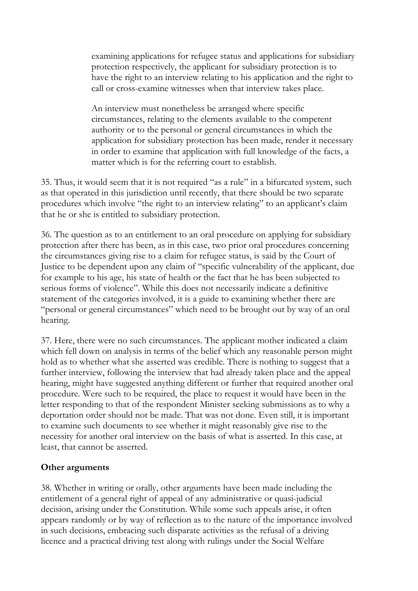examining applications for refugee status and applications for subsidiary protection respectively, the applicant for subsidiary protection is to have the right to an interview relating to his application and the right to call or cross-examine witnesses when that interview takes place.

An interview must nonetheless be arranged where specific circumstances, relating to the elements available to the competent authority or to the personal or general circumstances in which the application for subsidiary protection has been made, render it necessary in order to examine that application with full knowledge of the facts, a matter which is for the referring court to establish.

35. Thus, it would seem that it is not required "as a rule" in a bifurcated system, such as that operated in this jurisdiction until recently, that there should be two separate procedures which involve "the right to an interview relating" to an applicant's claim that he or she is entitled to subsidiary protection.

36. The question as to an entitlement to an oral procedure on applying for subsidiary protection after there has been, as in this case, two prior oral procedures concerning the circumstances giving rise to a claim for refugee status, is said by the Court of Justice to be dependent upon any claim of "specific vulnerability of the applicant, due for example to his age, his state of health or the fact that he has been subjected to serious forms of violence". While this does not necessarily indicate a definitive statement of the categories involved, it is a guide to examining whether there are "personal or general circumstances" which need to be brought out by way of an oral hearing.

37. Here, there were no such circumstances. The applicant mother indicated a claim which fell down on analysis in terms of the belief which any reasonable person might hold as to whether what she asserted was credible. There is nothing to suggest that a further interview, following the interview that had already taken place and the appeal hearing, might have suggested anything different or further that required another oral procedure. Were such to be required, the place to request it would have been in the letter responding to that of the respondent Minister seeking submissions as to why a deportation order should not be made. That was not done. Even still, it is important to examine such documents to see whether it might reasonably give rise to the necessity for another oral interview on the basis of what is asserted. In this case, at least, that cannot be asserted.

# **Other arguments**

38. Whether in writing or orally, other arguments have been made including the entitlement of a general right of appeal of any administrative or quasi-judicial decision, arising under the Constitution. While some such appeals arise, it often appears randomly or by way of reflection as to the nature of the importance involved in such decisions, embracing such disparate activities as the refusal of a driving licence and a practical driving test along with rulings under the Social Welfare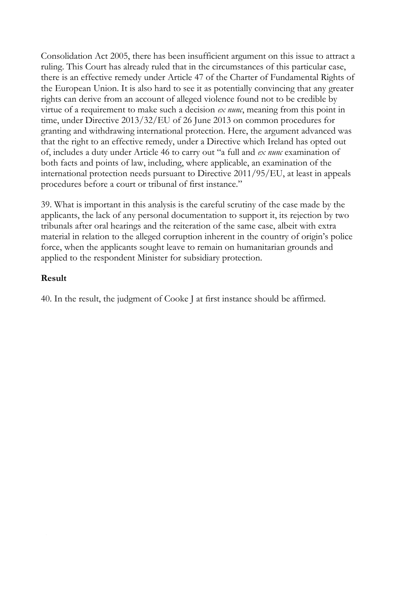Consolidation Act 2005, there has been insufficient argument on this issue to attract a ruling. This Court has already ruled that in the circumstances of this particular case, there is an effective remedy under Article 47 of the Charter of Fundamental Rights of the European Union. It is also hard to see it as potentially convincing that any greater rights can derive from an account of alleged violence found not to be credible by virtue of a requirement to make such a decision *ex nunc*, meaning from this point in time, under Directive 2013/32/EU of 26 June 2013 on common procedures for granting and withdrawing international protection. Here, the argument advanced was that the right to an effective remedy, under a Directive which Ireland has opted out of, includes a duty under Article 46 to carry out "a full and *ex nunc* examination of both facts and points of law, including, where applicable, an examination of the international protection needs pursuant to Directive 2011/95/EU, at least in appeals procedures before a court or tribunal of first instance."

39. What is important in this analysis is the careful scrutiny of the case made by the applicants, the lack of any personal documentation to support it, its rejection by two tribunals after oral hearings and the reiteration of the same case, albeit with extra material in relation to the alleged corruption inherent in the country of origin's police force, when the applicants sought leave to remain on humanitarian grounds and applied to the respondent Minister for subsidiary protection.

#### **Result**

40. In the result, the judgment of Cooke J at first instance should be affirmed.